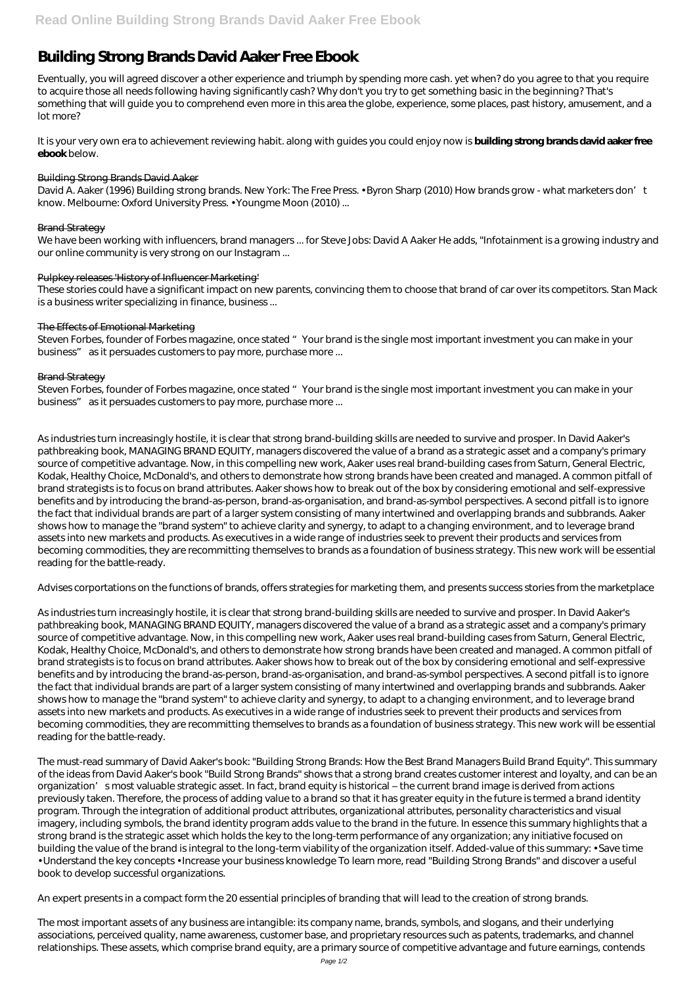# **Building Strong Brands David Aaker Free Ebook**

Eventually, you will agreed discover a other experience and triumph by spending more cash. yet when? do you agree to that you require to acquire those all needs following having significantly cash? Why don't you try to get something basic in the beginning? That's something that will guide you to comprehend even more in this area the globe, experience, some places, past history, amusement, and a lot more?

David A. Aaker (1996) Building strong brands. New York: The Free Press. • Byron Sharp (2010) How brands grow - what marketers don't know. Melbourne: Oxford University Press. • Youngme Moon (2010) ...

These stories could have a significant impact on new parents, convincing them to choose that brand of car over its competitors. Stan Mack is a business writer specializing in finance, business...

It is your very own era to achievement reviewing habit. along with guides you could enjoy now is **building strong brands david aaker free ebook** below.

#### Building Strong Brands David Aaker

### Brand Strategy

We have been working with influencers, brand managers ... for Steve Jobs: David A Aaker He adds, "Infotainment is a growing industry and our online community is very strong on our Instagram ...

#### Pulpkey releases 'History of Influencer Marketing'

#### The Effects of Emotional Marketing

Steven Forbes, founder of Forbes magazine, once stated "Your brand is the single most important investment you can make in your business" as it persuades customers to pay more, purchase more ...

#### Brand Strategy

Steven Forbes, founder of Forbes magazine, once stated "Your brand is the single most important investment you can make in your business" as it persuades customers to pay more, purchase more ...

As industries turn increasingly hostile, it is clear that strong brand-building skills are needed to survive and prosper. In David Aaker's pathbreaking book, MANAGING BRAND EQUITY, managers discovered the value of a brand as a strategic asset and a company's primary source of competitive advantage. Now, in this compelling new work, Aaker uses real brand-building cases from Saturn, General Electric, Kodak, Healthy Choice, McDonald's, and others to demonstrate how strong brands have been created and managed. A common pitfall of brand strategists is to focus on brand attributes. Aaker shows how to break out of the box by considering emotional and self-expressive benefits and by introducing the brand-as-person, brand-as-organisation, and brand-as-symbol perspectives. A second pitfall is to ignore the fact that individual brands are part of a larger system consisting of many intertwined and overlapping brands and subbrands. Aaker shows how to manage the "brand system" to achieve clarity and synergy, to adapt to a changing environment, and to leverage brand assets into new markets and products. As executives in a wide range of industries seek to prevent their products and services from becoming commodities, they are recommitting themselves to brands as a foundation of business strategy. This new work will be essential reading for the battle-ready.

Advises corportations on the functions of brands, offers strategies for marketing them, and presents success stories from the marketplace

As industries turn increasingly hostile, it is clear that strong brand-building skills are needed to survive and prosper. In David Aaker's pathbreaking book, MANAGING BRAND EQUITY, managers discovered the value of a brand as a strategic asset and a company's primary source of competitive advantage. Now, in this compelling new work, Aaker uses real brand-building cases from Saturn, General Electric, Kodak, Healthy Choice, McDonald's, and others to demonstrate how strong brands have been created and managed. A common pitfall of brand strategists is to focus on brand attributes. Aaker shows how to break out of the box by considering emotional and self-expressive benefits and by introducing the brand-as-person, brand-as-organisation, and brand-as-symbol perspectives. A second pitfall is to ignore the fact that individual brands are part of a larger system consisting of many intertwined and overlapping brands and subbrands. Aaker shows how to manage the "brand system" to achieve clarity and synergy, to adapt to a changing environment, and to leverage brand assets into new markets and products. As executives in a wide range of industries seek to prevent their products and services from becoming commodities, they are recommitting themselves to brands as a foundation of business strategy. This new work will be essential reading for the battle-ready.

The must-read summary of David Aaker's book: "Building Strong Brands: How the Best Brand Managers Build Brand Equity". This summary of the ideas from David Aaker's book "Build Strong Brands" shows that a strong brand creates customer interest and loyalty, and can be an organization' smost valuable strategic asset. In fact, brand equity is historical – the current brand image is derived from actions previously taken. Therefore, the process of adding value to a brand so that it has greater equity in the future is termed a brand identity program. Through the integration of additional product attributes, organizational attributes, personality characteristics and visual imagery, including symbols, the brand identity program adds value to the brand in the future. In essence this summary highlights that a strong brand is the strategic asset which holds the key to the long-term performance of any organization; any initiative focused on building the value of the brand is integral to the long-term viability of the organization itself. Added-value of this summary: • Save time • Understand the key concepts • Increase your business knowledge To learn more, read "Building Strong Brands" and discover a useful book to develop successful organizations.

An expert presents in a compact form the 20 essential principles of branding that will lead to the creation of strong brands.

The most important assets of any business are intangible: its company name, brands, symbols, and slogans, and their underlying associations, perceived quality, name awareness, customer base, and proprietary resources such as patents, trademarks, and channel relationships. These assets, which comprise brand equity, are a primary source of competitive advantage and future earnings, contends